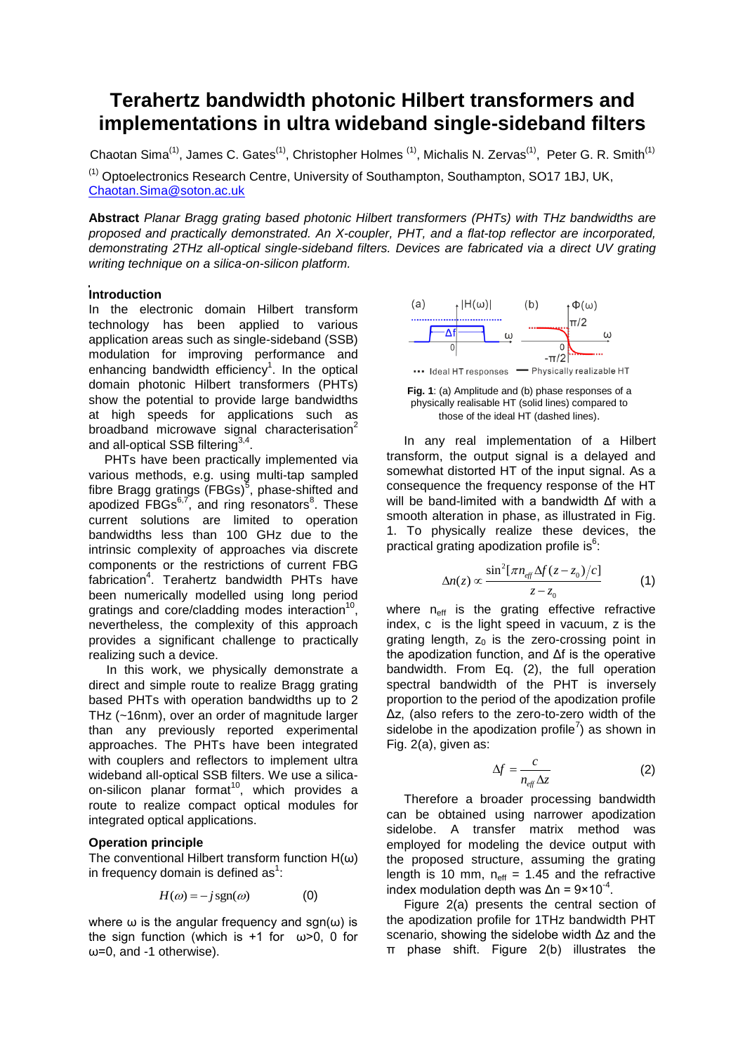# **Terahertz bandwidth photonic Hilbert transformers and implementations in ultra wideband single-sideband filters**

Chaotan Sima<sup>(1)</sup>, James C. Gates<sup>(1)</sup>, Christopher Holmes <sup>(1)</sup>, Michalis N. Zervas<sup>(1)</sup>, Peter G. R. Smith<sup>(1)</sup> (1) Optoelectronics Research Centre, University of Southampton, Southampton, SO17 1BJ, UK, [Chaotan.Sima@soton.ac.uk](mailto:smct@mail.hust.edu.cn)

**Abstract** *Planar Bragg grating based photonic Hilbert transformers (PHTs) with THz bandwidths are proposed and practically demonstrated. An X-coupler, PHT, and a flat-top reflector are incorporated, demonstrating 2THz all-optical single-sideband filters. Devices are fabricated via a direct UV grating writing technique on a silica-on-silicon platform.*

## **Introduction**

In the electronic domain Hilbert transform technology has been applied to various application areas such as single-sideband (SSB) modulation for improving performance and enhancing bandwidth efficiency<sup>1</sup>. In the optical domain photonic Hilbert transformers (PHTs) show the potential to provide large bandwidths at high speeds for applications such as broadband microwave signal characterisation<sup>2</sup> and all-optical SSB filtering $^{3,4}.$ 

PHTs have been practically implemented via various methods, e.g. using multi-tap sampled fibre Bragg gratings (FBGs)<sup>5</sup>, phase-shifted and apodized FBGs<sup>6,7</sup>, and ring resonators<sup>8</sup>. These current solutions are limited to operation bandwidths less than 100 GHz due to the intrinsic complexity of approaches via discrete components or the restrictions of current FBG fabrication<sup>4</sup>. Terahertz bandwidth PHTs have been numerically modelled using long period gratings and core/cladding modes interaction<sup>10</sup>, nevertheless, the complexity of this approach provides a significant challenge to practically realizing such a device.

In this work, we physically demonstrate a direct and simple route to realize Bragg grating based PHTs with operation bandwidths up to 2 THz (~16nm), over an order of magnitude larger than any previously reported experimental approaches. The PHTs have been integrated with couplers and reflectors to implement ultra wideband all-optical SSB filters. We use a silicaon-silicon planar format<sup>10</sup>, which provides a route to realize compact optical modules for integrated optical applications.

# **Operation principle**

The conventional Hilbert transform function  $H(\omega)$ in frequency domain is defined as<sup>1</sup>:

$$
H(\omega) = -j \operatorname{sgn}(\omega) \tag{0}
$$

where  $\omega$  is the angular frequency and sgn( $\omega$ ) is the sign function (which is +1 for  $\omega > 0$ , 0 for ω=0, and -1 otherwise).



**Fig. 1**: (a) Amplitude and (b) phase responses of a physically realisable HT (solid lines) compared to those of the ideal HT (dashed lines).

In any real implementation of a Hilbert transform, the output signal is a delayed and somewhat distorted HT of the input signal. As a consequence the frequency response of the HT will be band-limited with a bandwidth Δf with a smooth alteration in phase, as illustrated in Fig. 1. To physically realize these devices, the practical grating apodization profile is<sup>6</sup>:

$$
\Delta n(z) \propto \frac{\sin^2[\pi n_{\text{eff}}\Delta f(z-z_0)/c]}{z-z_0} \tag{1}
$$

where  $n_{\text{eff}}$  is the grating effective refractive index, c is the light speed in vacuum, z is the grating length,  $z_0$  is the zero-crossing point in the apodization function, and Δf is the operative bandwidth. From Eq. (2), the full operation spectral bandwidth of the PHT is inversely proportion to the period of the apodization profile Δz, (also refers to the zero-to-zero width of the sidelobe in the apodization profile<sup>7</sup>) as shown in Fig. 2(a), given as:

$$
\Delta f = \frac{c}{n_{\text{eff}} \Delta z} \tag{2}
$$

Therefore a broader processing bandwidth can be obtained using narrower apodization sidelobe. A transfer matrix method was employed for modeling the device output with the proposed structure, assuming the grating length is 10 mm,  $n_{\text{eff}} = 1.45$  and the refractive index modulation depth was  $\Delta n = 9 \times 10^{-4}$ .

Figure 2(a) presents the central section of the apodization profile for 1THz bandwidth PHT scenario, showing the sidelobe width Δz and the π phase shift. Figure 2(b) illustrates the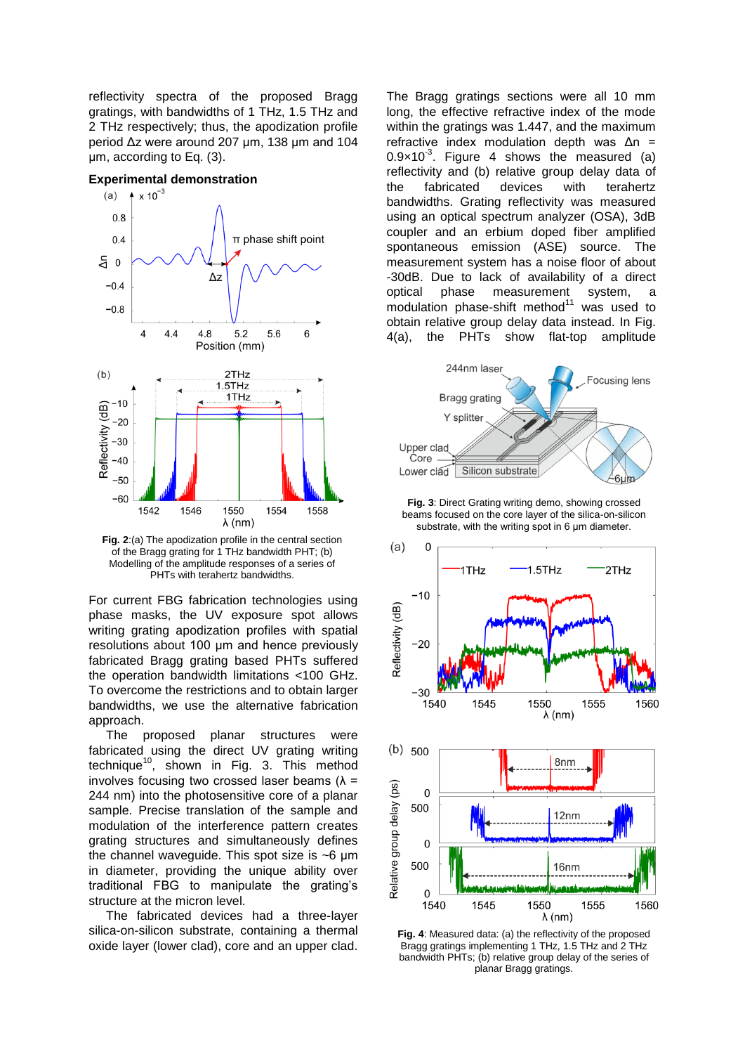reflectivity spectra of the proposed Bragg gratings, with bandwidths of 1 THz, 1.5 THz and 2 THz respectively; thus, the apodization profile period Δz were around 207 μm, 138 μm and 104 μm, according to Eq. (3).

## **Experimental demonstration**



**Fig. 2**:(a) The apodization profile in the central section of the Bragg grating for 1 THz bandwidth PHT; (b) Modelling of the amplitude responses of a series of PHTs with terahertz bandwidths.

For current FBG fabrication technologies using phase masks, the UV exposure spot allows writing grating apodization profiles with spatial resolutions about 100 μm and hence previously fabricated Bragg grating based PHTs suffered the operation bandwidth limitations <100 GHz. To overcome the restrictions and to obtain larger bandwidths, we use the alternative fabrication approach.

The proposed planar structures were fabricated using the direct UV grating writing technique<sup>10</sup>, shown in Fig. 3. This method involves focusing two crossed laser beams  $(\lambda =$ 244 nm) into the photosensitive core of a planar sample. Precise translation of the sample and modulation of the interference pattern creates grating structures and simultaneously defines the channel waveguide. This spot size is ~6 μm in diameter, providing the unique ability over traditional FBG to manipulate the grating's structure at the micron level.

The fabricated devices had a three-layer silica-on-silicon substrate, containing a thermal oxide layer (lower clad), core and an upper clad.

The Bragg gratings sections were all 10 mm long, the effective refractive index of the mode within the gratings was 1.447, and the maximum refractive index modulation depth was Δn =  $0.9 \times 10^{-3}$ . Figure 4 shows the measured (a) reflectivity and (b) relative group delay data of the fabricated devices with terahertz bandwidths. Grating reflectivity was measured using an optical spectrum analyzer (OSA), 3dB coupler and an erbium doped fiber amplified spontaneous emission (ASE) source. The measurement system has a noise floor of about -30dB. Due to lack of availability of a direct optical phase measurement system, a modulation phase-shift method $11$  was used to obtain relative group delay data instead. In Fig. 4(a), the PHTs show flat-top amplitude



**Fig. 3**: Direct Grating writing demo, showing crossed beams focused on the core layer of the silica-on-silicon substrate, with the writing spot in 6 μm diameter.



**Fig. 4**: Measured data: (a) the reflectivity of the proposed Bragg gratings implementing 1 THz, 1.5 THz and 2 THz bandwidth PHTs; (b) relative group delay of the series of planar Bragg gratings.